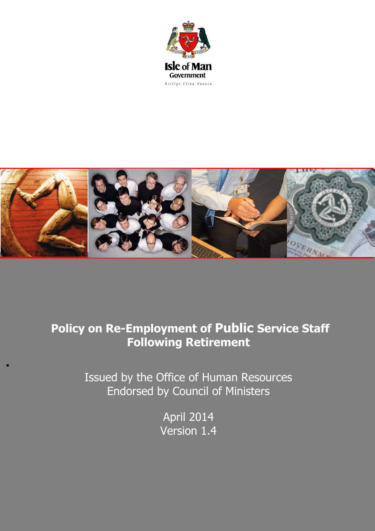



# **Policy on Re-Employment of Public Service Staff Following Retirement**

Issued by the Office of Human Resources Endorsed by Council of Ministers

.

April 2014 Version 1.4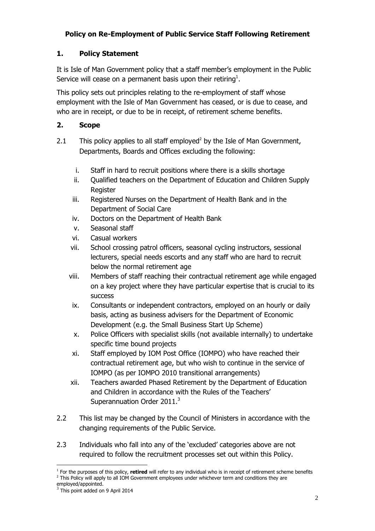# **Policy on Re-Employment of Public Service Staff Following Retirement**

# **1. Policy Statement**

It is Isle of Man Government policy that a staff member's employment in the Public Service will cease on a permanent basis upon their retiring<sup>1</sup>.

This policy sets out principles relating to the re-employment of staff whose employment with the Isle of Man Government has ceased, or is due to cease, and who are in receipt, or due to be in receipt, of retirement scheme benefits.

### **2. Scope**

- 2.1 This policy applies to all staff employed<sup>2</sup> by the Isle of Man Government, Departments, Boards and Offices excluding the following:
	- i. Staff in hard to recruit positions where there is a skills shortage
	- ii. Qualified teachers on the Department of Education and Children Supply Register
	- iii. Registered Nurses on the Department of Health Bank and in the Department of Social Care
	- iv. Doctors on the Department of Health Bank
	- v. Seasonal staff
	- vi. Casual workers
	- vii. School crossing patrol officers, seasonal cycling instructors, sessional lecturers, special needs escorts and any staff who are hard to recruit below the normal retirement age
	- viii. Members of staff reaching their contractual retirement age while engaged on a key project where they have particular expertise that is crucial to its success
		- ix. Consultants or independent contractors, employed on an hourly or daily basis, acting as business advisers for the Department of Economic Development (e.g. the Small Business Start Up Scheme)
		- x. Police Officers with specialist skills (not available internally) to undertake specific time bound projects
	- xi. Staff employed by IOM Post Office (IOMPO) who have reached their contractual retirement age, but who wish to continue in the service of IOMPO (as per IOMPO 2010 transitional arrangements)
	- xii. Teachers awarded Phased Retirement by the Department of Education and Children in accordance with the Rules of the Teachers' Superannuation Order  $2011.<sup>3</sup>$
- 2.2 This list may be changed by the Council of Ministers in accordance with the changing requirements of the Public Service.
- 2.3 Individuals who fall into any of the 'excluded' categories above are not required to follow the recruitment processes set out within this Policy.

<sup>-</sup><sup>1</sup> For the purposes of this policy, **retired** will refer to any individual who is in receipt of retirement scheme benefits <sup>2</sup> This Policy will apply to all IOM Government employees under whichever term and conditions they are

employed/appointed.<br> $3 \text{ This point added}$ 

This point added on 9 April 2014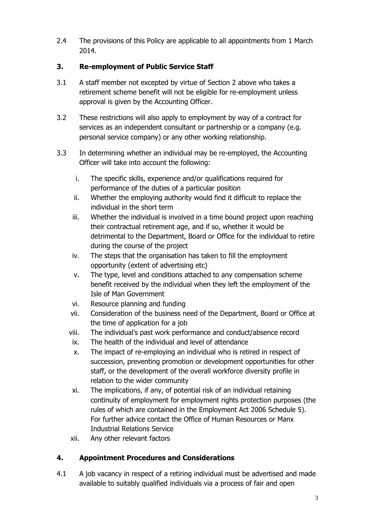2.4 The provisions of this Policy are applicable to all appointments from 1 March 2014.

# **3. Re-employment of Public Service Staff**

- 3.1 A staff member not excepted by virtue of Section 2 above who takes a retirement scheme benefit will not be eligible for re-employment unless approval is given by the Accounting Officer.
- 3.2 These restrictions will also apply to employment by way of a contract for services as an independent consultant or partnership or a company (e.g. personal service company) or any other working relationship.
- 3.3 In determining whether an individual may be re-employed, the Accounting Officer will take into account the following:
	- i. The specific skills, experience and/or qualifications required for performance of the duties of a particular position
	- ii. Whether the employing authority would find it difficult to replace the individual in the short term
	- iii. Whether the individual is involved in a time bound project upon reaching their contractual retirement age, and if so, whether it would be detrimental to the Department, Board or Office for the individual to retire during the course of the project
	- iv. The steps that the organisation has taken to fill the employment opportunity (extent of advertising etc)
	- v. The type, level and conditions attached to any compensation scheme benefit received by the individual when they left the employment of the Isle of Man Government
	- vi. Resource planning and funding
	- vii. Consideration of the business need of the Department, Board or Office at the time of application for a job
	- viii. The individual's past work performance and conduct/absence record
	- ix. The health of the individual and level of attendance
	- x. The impact of re-employing an individual who is retired in respect of succession, preventing promotion or development opportunities for other staff, or the development of the overall workforce diversity profile in relation to the wider community
	- xi. The implications, if any, of potential risk of an individual retaining continuity of employment for employment rights protection purposes (the rules of which are contained in the Employment Act 2006 Schedule 5). For further advice contact the Office of Human Resources or Manx Industrial Relations Service
	- xii. Any other relevant factors

# **4. Appointment Procedures and Considerations**

4.1 A job vacancy in respect of a retiring individual must be advertised and made available to suitably qualified individuals via a process of fair and open